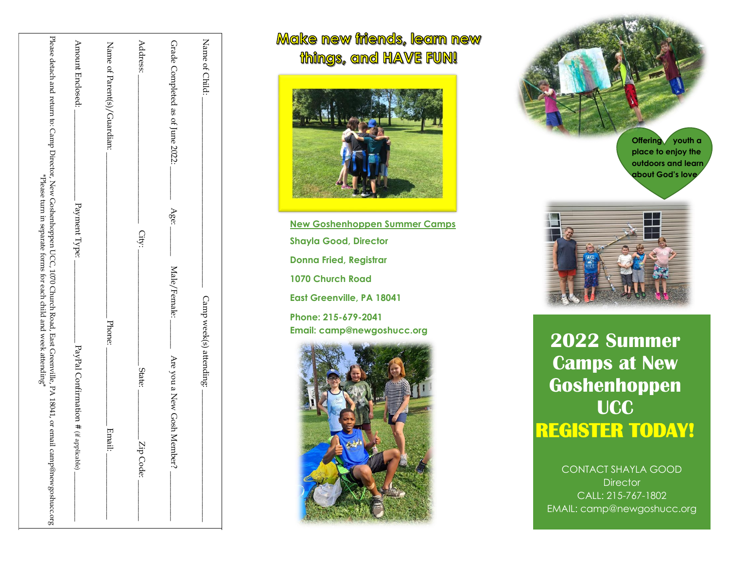| Please detach and return to: Camp Dinection of Secondary Reserves that Road, Fast Greenville, PA 18041, or email camp@newgoshuccompolication of Secondary and the Secondary of Secondary Secondary and the secondary of Second<br>*Please turn in separate forms for each child and week attending* | Amount Enclosed:                      | Name of Parent(s)/Guardian: | Address:            | Grade Completed as of June 2022: | Name of Child:          |
|-----------------------------------------------------------------------------------------------------------------------------------------------------------------------------------------------------------------------------------------------------------------------------------------------------|---------------------------------------|-----------------------------|---------------------|----------------------------------|-------------------------|
|                                                                                                                                                                                                                                                                                                     | Payment Type:                         |                             | City:               | Age:<br>Male/Female:             |                         |
|                                                                                                                                                                                                                                                                                                     | PayPal Confirmation # (if applicable) | Phone:<br>Email:            | State:<br>Zip Code: | Are you a New Gosh Member?       | Camp week(s) attending: |
|                                                                                                                                                                                                                                                                                                     |                                       |                             |                     |                                  |                         |

## Make new iniends, learn new things, and HAVE FUN!



**New Goshenhoppen Summer Camps Shayla Good, Director Donna Fried, Registrar 1070 Church Road East Greenville, PA 18041 Phone: 215-679-2041**





Email: camp@newgoshucc.org<br> **2022 Summer Camps at New Goshenhoppen UCC REGISTER TODAY!** 

> CONTACT SHAYLA GOOD **Director** CALL: 215-767-1802 EMAIL: camp@newgoshucc.org